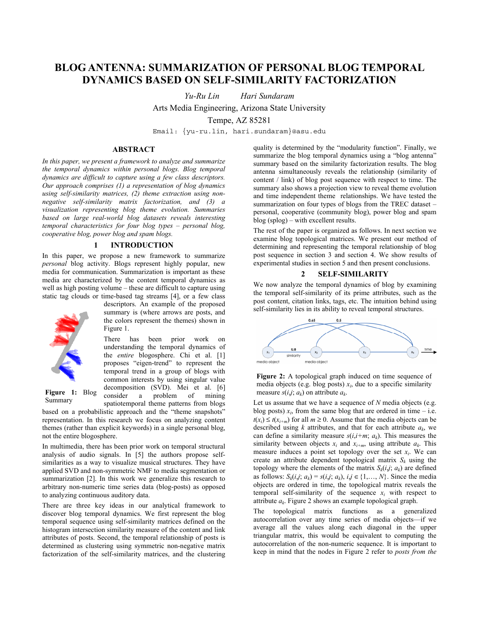# **BLOG ANTENNA: SUMMARIZATION OF PERSONAL BLOG TEMPORAL DYNAMICS BASED ON SELF-SIMILARITY FACTORIZATION**

*Yu-Ru Lin Hari Sundaram* 

Arts Media Engineering, Arizona State University

Tempe, AZ 85281

Email: {yu-ru.lin, hari.sundaram}@asu.edu

### **ABSTRACT**

*In this paper, we present a framework to analyze and summarize the temporal dynamics within personal blogs. Blog temporal dynamics are difficult to capture using a few class descriptors. Our approach comprises (1) a representation of blog dynamics using self-similarity matrices, (2) theme extraction using nonnegative self-similarity matrix factorization, and (3) a visualization representing blog theme evolution. Summaries based on large real-world blog datasets reveals interesting temporal characteristics for four blog types – personal blog, cooperative blog, power blog and spam blogs.* 

## **1 INTRODUCTION**

In this paper, we propose a new framework to summarize *personal* blog activity. Blogs represent highly popular, new media for communication. Summarization is important as these media are characterized by the content temporal dynamics as well as high posting volume – these are difficult to capture using static tag clouds or time-based tag streams [4], or a few class



descriptors. An example of the proposed summary is (where arrows are posts, and the colors represent the themes) shown in Figure 1.

There has been prior work on understanding the temporal dynamics of the *entire* blogosphere. Chi et al. [1] proposes "eigen-trend" to represent the temporal trend in a group of blogs with common interests by using singular value decomposition (SVD). Mei et al. [6]<br>consider a problem of mining consider a problem of mining spatiotemporal theme patterns from blogs **Figure 1:** Blog experiments of  $\lim_{n \to \infty} \frac{\log x}{n}$  measure  $s(i,j; a_k)$  on attribute  $a_k$ .

Summary

based on a probabilistic approach and the "theme snapshots" representation. In this research we focus on analyzing content themes (rather than explicit keywords) in a single personal blog, not the entire blogosphere.

In multimedia, there has been prior work on temporal structural analysis of audio signals. In [5] the authors propose selfsimilarities as a way to visualize musical structures. They have applied SVD and non-symmetric NMF to media segmentation or summarization [2]. In this work we generalize this research to arbitrary non-numeric time series data (blog-posts) as opposed to analyzing continuous auditory data.

There are three key ideas in our analytical framework to discover blog temporal dynamics. We first represent the blog temporal sequence using self-similarity matrices defined on the histogram intersection similarity measure of the content and link attributes of posts. Second, the temporal relationship of posts is determined as clustering using symmetric non-negative matrix factorization of the self-similarity matrices, and the clustering quality is determined by the "modularity function". Finally, we summarize the blog temporal dynamics using a "blog antenna" summary based on the similarity factorization results. The blog antenna simultaneously reveals the relationship (similarity of content / link) of blog post sequence with respect to time. The summary also shows a projection view to reveal theme evolution and time independent theme relationships. We have tested the summarization on four types of blogs from the TREC dataset – personal, cooperative (community blog), power blog and spam blog (splog) – with excellent results.

The rest of the paper is organized as follows. In next section we examine blog topological matrices. We present our method of determining and representing the temporal relationship of blog post sequence in section 3 and section 4. We show results of experimental studies in section 5 and then present conclusions.

#### **2 SELF-SIMILARITY**

We now analyze the temporal dynamics of blog by examining the temporal self-similarity of its prime attributes, such as the post content, citation links, tags, etc. The intuition behind using self-similarity lies in its ability to reveal temporal structures.



**Figure 2:** A topological graph induced on time sequence of media objects (e.g. blog posts)  $x_i$ , due to a specific similarity

Let us assume that we have a sequence of *N* media objects (e.g. blog posts)  $x_i$ , from the same blog that are ordered in time – i.e.  $t(x_i) \le t(x_{i+m})$  for all  $m \ge 0$ . Assume that the media objects can be described using  $k$  attributes, and that for each attribute  $a_k$ , we can define a similarity measure  $s(i,i+m; a_k)$ . This measures the similarity between objects  $x_i$  and  $x_{i+m}$ , using attribute  $a_k$ . This measure induces a point set topology over the set  $x_i$ . We can create an attribute dependent topological matrix  $S_k$  using the topology where the elements of the matrix  $S_k(i,j; a_k)$  are defined as follows:  $S_k(i, j; a_k) = s(i, j; a_k)$ ,  $i, j \in \{1, \ldots, N\}$ . Since the media objects are ordered in time, the topological matrix reveals the temporal self-similarity of the sequence  $x_i$  with respect to attribute *ak*. Figure 2 shows an example topological graph.

The topological matrix functions as a generalized autocorrelation over any time series of media objects—if we average all the values along each diagonal in the upper triangular matrix, this would be equivalent to computing the autocorrelation of the non-numeric sequence. It is important to keep in mind that the nodes in Figure 2 refer to *posts from the*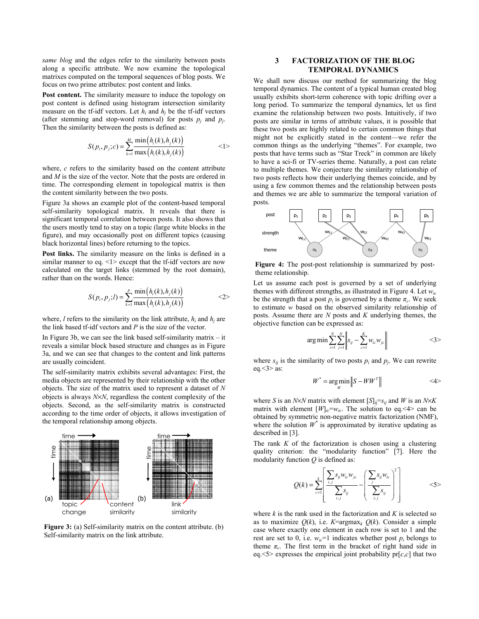*same blog* and the edges refer to the similarity between posts along a specific attribute. We now examine the topological matrixes computed on the temporal sequences of blog posts. We focus on two prime attributes: post content and links.

**Post content.** The similarity measure to induce the topology on post content is defined using histogram intersection similarity measure on the tf-idf vectors. Let  $h_i$  and  $h_j$  be the tf-idf vectors (after stemming and stop-word removal) for posts  $p_i$  and  $p_j$ . Then the similarity between the posts is defined as:

$$
S(p_i, p_j; c) = \sum_{k=1}^{M} \frac{\min(h_i(k), h_j(k))}{\max(h_i(k), h_j(k))}
$$
  $\langle 1 \rangle$ 

where, *c* refers to the similarity based on the content attribute and *M* is the size of the vector. Note that the posts are ordered in time. The corresponding element in topological matrix is then the content similarity between the two posts.

Figure 3a shows an example plot of the content-based temporal self-similarity topological matrix. It reveals that there is significant temporal correlation between posts. It also shows that the users mostly tend to stay on a topic (large white blocks in the figure), and may occasionally post on different topics (causing black horizontal lines) before returning to the topics.

**Post links.** The similarity measure on the links is defined in a similar manner to eq. <1> except that the tf-idf vectors are now calculated on the target links (stemmed by the root domain), rather than on the words. Hence:

$$
S(p_i, p_j; l) = \sum_{k=1}^{p} \frac{\min(h_i(k), h_j(k))}{\max(h_i(k), h_j(k))}
$$
<sup>(2)</sup>

where,  $l$  refers to the similarity on the link attribute,  $h_i$  and  $h_j$  are the link based tf-idf vectors and *P* is the size of the vector.

In Figure 3b, we can see the link based self-similarity matrix  $-$  it reveals a similar block based structure and changes as in Figure 3a, and we can see that changes to the content and link patterns are usually coincident.

The self-similarity matrix exhibits several advantages: First, the media objects are represented by their relationship with the other objects. The size of the matrix used to represent a dataset of *N* objects is always *N*×*N*, regardless the content complexity of the objects. Second, as the self-similarity matrix is constructed according to the time order of objects, it allows investigation of the temporal relationship among objects.



**Figure 3:** (a) Self-similarity matrix on the content attribute. (b) Self-similarity matrix on the link attribute.

### **3 FACTORIZATION OF THE BLOG TEMPORAL DYNAMICS**

We shall now discuss our method for summarizing the blog temporal dynamics. The content of a typical human created blog usually exhibits short-term coherence with topic drifting over a long period. To summarize the temporal dynamics, let us first examine the relationship between two posts. Intuitively, if two posts are similar in terms of attribute values, it is possible that these two posts are highly related to certain common things that might not be explicitly stated in the content—we refer the common things as the underlying "themes". For example, two posts that have terms such as "Star Treck" in common are likely to have a sci-fi or TV-series theme. Naturally, a post can relate to multiple themes. We conjecture the similarity relationship of two posts reflects how their underlying themes coincide, and by using a few common themes and the relationship between posts and themes we are able to summarize the temporal variation of posts.



**Figure 4:** The post-post relationship is summarized by posttheme relationship.

Let us assume each post is governed by a set of underlying themes with different strengths, as illustrated in Figure 4. Let *wic* be the strength that a post  $p_i$  is governed by a theme  $\pi_c$ . We seek to estimate *w* based on the observed similarity relationship of posts. Assume there are *N* posts and *K* underlying themes, the objective function can be expressed as:

$$
\arg\min\sum_{i=1}^{N}\sum_{j=1}^{N}\left\|s_{ij}-\sum_{c=1}^{K}w_{ic}w_{jc}\right\|
$$
  
<3>

where  $s_{ij}$  is the similarity of two posts  $p_i$  and  $p_j$ . We can rewrite eq.  $\leq$ 3 $>$  as:

$$
W^* = \underset{W}{\arg\min} \left\| S - WW^T \right\| \tag{4}
$$

where *S* is an *N*×*N* matrix with element  $[S]_{ii} = s_{ij}$  and *W* is an *N*×*K* matrix with element  $[W]_{ic}=w_{ic}$ . The solution to eq. <4> can be obtained by symmetric non-negative matrix factorization (NMF), where the solution  $W^*$  is approximated by iterative updating as described in [3].

The rank *K* of the factorization is chosen using a clustering quality criterion: the "modularity function" [7]. Here the modularity function *Q* is defined as:

$$
Q(k) = \sum_{c=1}^{k} \left[ \frac{\sum_{i,j} s_{ij} w_{ic} w_{jc}}{\sum_{i,j} s_{ij}} - \left( \frac{\sum_{j} s_{ij} w_{ic}}{\sum_{i,j} s_{ij}} \right)^2 \right]
$$
  $\tag{5}$ 

where *k* is the rank used in the factorization and *K* is selected so as to maximize  $O(k)$ , i.e.  $K = argmax_k O(k)$ . Consider a simple case where exactly one element in each row is set to 1 and the rest are set to 0, i.e.  $w_{ic}$ =1 indicates whether post  $p_i$  belongs to theme  $\pi_c$ . The first term in the bracket of right hand side in eq.  $5$  expresses the empirical joint probability  $pr[c, c]$  that two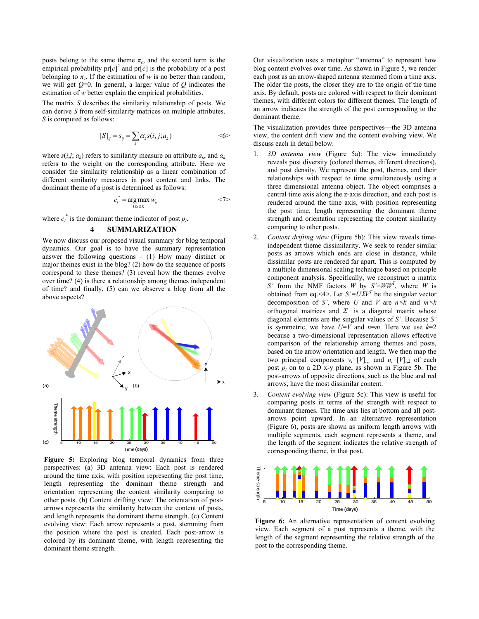posts belong to the same theme  $\pi_c$ , and the second term is the empirical probability  $pr[c]^2$  and  $pr[c]$  is the probability of a post belonging to  $\pi_c$ . If the estimation of *w* is no better than random, we will get *Q*=0. In general, a larger value of *Q* indicates the estimation of *w* better explain the empirical probabilities.

The matrix *S* describes the similarity relationship of posts. We can derive *S* from self-similarity matrices on multiple attributes. *S* is computed as follows:

$$
[S]_{ij} = s_{ij} = \sum_{k} \alpha_{k} s(i, j; a_{k}) \qquad \qquad \langle 6 \rangle
$$

where  $s(i,j; a_k)$  refers to similarity measure on attribute  $a_k$ , and  $a_k$ refers to the weight on the corresponding attribute. Here we consider the similarity relationship as a linear combination of different similarity measures in post content and links. The dominant theme of a post is determined as follows:

$$
c_i^* = \underset{1 \le i \le K}{\arg \max} w_{il} \qquad \qquad \le 7>
$$

where  $c_i^*$  is the dominant theme indicator of post  $p_i$ .

#### **4 SUMMARIZATION**

We now discuss our proposed visual summary for blog temporal dynamics. Our goal is to have the summary representation answer the following questions  $- (1)$  How many distinct or major themes exist in the blog? (2) how do the sequence of posts correspond to these themes? (3) reveal how the themes evolve over time? (4) is there a relationship among themes independent of time? and finally, (5) can we observe a blog from all the above aspects?



Figure 5: Exploring blog temporal dynamics from three perspectives: (a) 3D antenna view: Each post is rendered around the time axis, with position representing the post time, length representing the dominant theme strength and orientation representing the content similarity comparing to other posts. (b) Content drifting view: The orientation of postarrows represents the similarity between the content of posts, and length represents the dominant theme strength. (c) Content evolving view: Each arrow represents a post, stemming from the position where the post is created. Each post-arrow is colored by its dominant theme, with length representing the dominant theme strength.

Our visualization uses a metaphor "antenna" to represent how blog content evolves over time. As shown in Figure 5, we render each post as an arrow-shaped antenna stemmed from a time axis. The older the posts, the closer they are to the origin of the time axis. By default, posts are colored with respect to their dominant themes, with different colors for different themes. The length of an arrow indicates the strength of the post corresponding to the dominant theme.

The visualization provides three perspectives—the 3D antenna view, the content drift view and the content evolving view. We discuss each in detail below.

- 1. *3D antenna view* (Figure 5a): The view immediately reveals post diversity (colored themes, different directions), and post density. We represent the post, themes, and their relationships with respect to time simultaneously using a three dimensional antenna object. The object comprises a central time axis along the z-axis direction, and each post is rendered around the time axis, with position representing the post time, length representing the dominant theme strength and orientation representing the content similarity comparing to other posts.
- 2. *Content drifting view* (Figure 5b): This view reveals timeindependent theme dissimilarity. We seek to render similar posts as arrows which ends are close in distance, while dissimilar posts are rendered far apart. This is computed by a multiple dimensional scaling technique based on principle component analysis. Specifically, we reconstruct a matrix *S'* from the NMF factors *W* by  $S' = WW^T$ , where *W* is obtained from eq. <4>. Let  $S' = U\Sigma V^T$  be the singular vector decomposition of *S'*, where *U* and *V* are  $n \times k$  and  $m \times k$ orthogonal matrices and  $\Sigma$  is a diagonal matrix whose diagonal elements are the singular values of *S'*. Because *S'* is symmetric, we have  $U=V$  and  $n=m$ . Here we use  $k=2$ because a two-dimensional representation allows effective comparison of the relationship among themes and posts, based on the arrow orientation and length. We then map the two principal components  $v_i = [V]_{i,1}$  and  $u_i = [V]_{i,2}$  of each post *pi* on to a 2D x-y plane, as shown in Figure 5b. The post-arrows of opposite directions, such as the blue and red arrows, have the most dissimilar content.
- 3. *Content evolving view* (Figure 5c): This view is useful for comparing posts in terms of the strength with respect to dominant themes. The time axis lies at bottom and all postarrows point upward. In an alternative representation (Figure 6), posts are shown as uniform length arrows with multiple segments, each segment represents a theme, and the length of the segment indicates the relative strength of corresponding theme, in that post.



Figure 6: An alternative representation of content evolving view. Each segment of a post represents a theme, with the length of the segment representing the relative strength of the post to the corresponding theme.